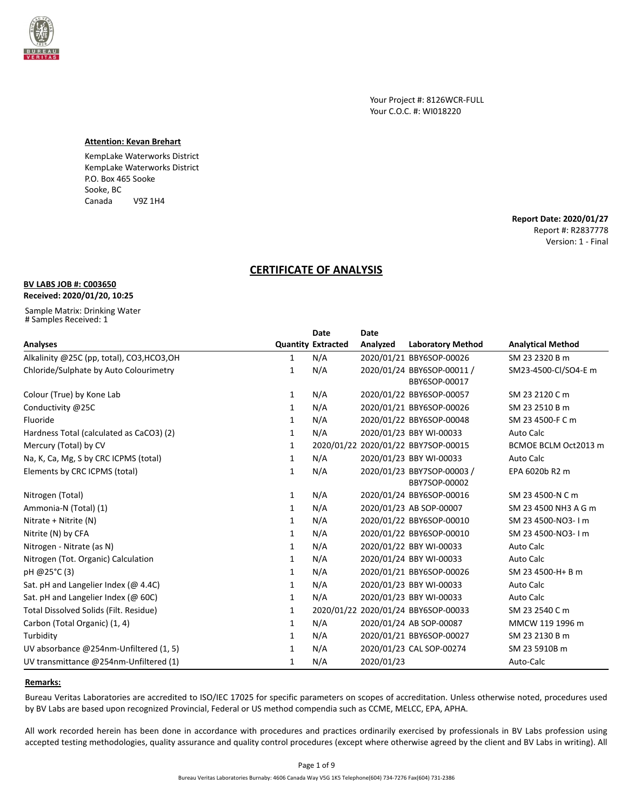

Your Project #: 8126WCR-FULL Your C.O.C. #: WI018220

## **Attention: Kevan Brehart**

KempLake Waterworks District KempLake Waterworks District P.O. Box 465 Sooke Sooke, BC Canada V9Z 1H4

> **Report Date: 2020/01/27** Report #: R2837778 Version: 1 - Final

# **CERTIFICATE OF ANALYSIS**

# **BV LABS JOB #: C003650**

## **Received: 2020/01/20, 10:25**

Sample Matrix: Drinking Water # Samples Received: 1

|                                            |              | <b>Date</b>               | <b>Date</b> |                                             |                          |
|--------------------------------------------|--------------|---------------------------|-------------|---------------------------------------------|--------------------------|
| <b>Analyses</b>                            |              | <b>Quantity Extracted</b> | Analyzed    | <b>Laboratory Method</b>                    | <b>Analytical Method</b> |
| Alkalinity @25C (pp, total), CO3, HCO3, OH | 1            | N/A                       |             | 2020/01/21 BBY6SOP-00026                    | SM 23 2320 B m           |
| Chloride/Sulphate by Auto Colourimetry     | 1            | N/A                       |             | 2020/01/24 BBY6SOP-00011 /<br>BBY6SOP-00017 | SM23-4500-Cl/SO4-E m     |
| Colour (True) by Kone Lab                  | 1            | N/A                       |             | 2020/01/22 BBY6SOP-00057                    | SM 23 2120 C m           |
| Conductivity @25C                          | 1            | N/A                       |             | 2020/01/21 BBY6SOP-00026                    | SM 23 2510 B m           |
| Fluoride                                   | $\mathbf{1}$ | N/A                       |             | 2020/01/22 BBY6SOP-00048                    | SM 23 4500-F C m         |
| Hardness Total (calculated as CaCO3) (2)   | 1            | N/A                       |             | 2020/01/23 BBY WI-00033                     | Auto Calc                |
| Mercury (Total) by CV                      | $\mathbf{1}$ |                           |             | 2020/01/22 2020/01/22 BBY7SOP-00015         | BCMOE BCLM Oct2013 m     |
| Na, K, Ca, Mg, S by CRC ICPMS (total)      | 1            | N/A                       |             | 2020/01/23 BBY WI-00033                     | Auto Calc                |
| Elements by CRC ICPMS (total)              | 1            | N/A                       |             | 2020/01/23 BBY7SOP-00003 /<br>BBY7SOP-00002 | EPA 6020b R2 m           |
| Nitrogen (Total)                           | 1            | N/A                       |             | 2020/01/24 BBY6SOP-00016                    | SM 23 4500-N C m         |
| Ammonia-N (Total) (1)                      | 1            | N/A                       |             | 2020/01/23 AB SOP-00007                     | SM 23 4500 NH3 A G m     |
| Nitrate + Nitrite (N)                      | 1            | N/A                       |             | 2020/01/22 BBY6SOP-00010                    | SM 23 4500-NO3-1 m       |
| Nitrite (N) by CFA                         | 1            | N/A                       |             | 2020/01/22 BBY6SOP-00010                    | SM 23 4500-NO3-1 m       |
| Nitrogen - Nitrate (as N)                  | $\mathbf{1}$ | N/A                       |             | 2020/01/22 BBY WI-00033                     | Auto Calc                |
| Nitrogen (Tot. Organic) Calculation        | $\mathbf{1}$ | N/A                       |             | 2020/01/24 BBY WI-00033                     | Auto Calc                |
| pH @25°C (3)                               | $\mathbf{1}$ | N/A                       |             | 2020/01/21 BBY6SOP-00026                    | SM 23 4500-H+ B m        |
| Sat. pH and Langelier Index ( $@$ 4.4C)    | 1            | N/A                       |             | 2020/01/23 BBY WI-00033                     | Auto Calc                |
| Sat. pH and Langelier Index (@ 60C)        | 1            | N/A                       |             | 2020/01/23 BBY WI-00033                     | Auto Calc                |
| Total Dissolved Solids (Filt. Residue)     | 1            |                           |             | 2020/01/22 2020/01/24 BBY6SOP-00033         | SM 23 2540 C m           |
| Carbon (Total Organic) (1, 4)              | 1            | N/A                       |             | 2020/01/24 AB SOP-00087                     | MMCW 119 1996 m          |
| Turbidity                                  | 1            | N/A                       |             | 2020/01/21 BBY6SOP-00027                    | SM 23 2130 B m           |
| UV absorbance @254nm-Unfiltered (1, 5)     | 1            | N/A                       |             | 2020/01/23 CAL SOP-00274                    | SM 23 5910B m            |
| UV transmittance @254nm-Unfiltered (1)     | 1            | N/A                       | 2020/01/23  |                                             | Auto-Calc                |

### **Remarks:**

Bureau Veritas Laboratories are accredited to ISO/IEC 17025 for specific parameters on scopes of accreditation. Unless otherwise noted, procedures used by BV Labs are based upon recognized Provincial, Federal or US method compendia such as CCME, MELCC, EPA, APHA.

All work recorded herein has been done in accordance with procedures and practices ordinarily exercised by professionals in BV Labs profession using accepted testing methodologies, quality assurance and quality control procedures (except where otherwise agreed by the client and BV Labs in writing). All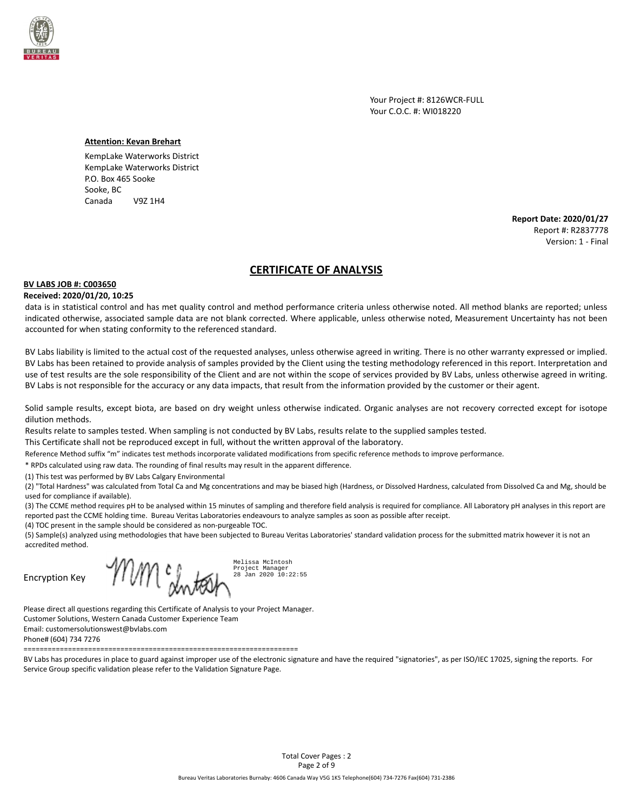

Your Project #: 8126WCR-FULL Your C.O.C. #: WI018220

#### **Attention: Kevan Brehart**

KempLake Waterworks District KempLake Waterworks District P.O. Box 465 Sooke Sooke, BC Canada V9Z 1H4

> **Report Date: 2020/01/27** Report #: R2837778 Version: 1 - Final

# **CERTIFICATE OF ANALYSIS**

#### **BV LABS JOB #: C003650**

#### **Received: 2020/01/20, 10:25**

data is in statistical control and has met quality control and method performance criteria unless otherwise noted. All method blanks are reported; unless indicated otherwise, associated sample data are not blank corrected. Where applicable, unless otherwise noted, Measurement Uncertainty has not been accounted for when stating conformity to the referenced standard.

BV Labs liability is limited to the actual cost of the requested analyses, unless otherwise agreed in writing. There is no other warranty expressed or implied. BV Labs has been retained to provide analysis of samples provided by the Client using the testing methodology referenced in this report. Interpretation and use of test results are the sole responsibility of the Client and are not within the scope of services provided by BV Labs, unless otherwise agreed in writing. BV Labs is not responsible for the accuracy or any data impacts, that result from the information provided by the customer or their agent.

Solid sample results, except biota, are based on dry weight unless otherwise indicated. Organic analyses are not recovery corrected except for isotope dilution methods.

Results relate to samples tested. When sampling is not conducted by BV Labs, results relate to the supplied samples tested.

This Certificate shall not be reproduced except in full, without the written approval of the laboratory.

Reference Method suffix "m" indicates test methods incorporate validated modifications from specific reference methods to improve performance.

\* RPDs calculated using raw data. The rounding of final results may result in the apparent difference.

(1) This test was performed by BV Labs Calgary Environmental

(2) "Total Hardness" was calculated from Total Ca and Mg concentrations and may be biased high (Hardness, or Dissolved Hardness, calculated from Dissolved Ca and Mg, should be used for compliance if available).

(3) The CCME method requires pH to be analysed within 15 minutes of sampling and therefore field analysis is required for compliance. All Laboratory pH analyses in this report are reported past the CCME holding time. Bureau Veritas Laboratories endeavours to analyze samples as soon as possible after receipt.

(4) TOC present in the sample should be considered as non-purgeable TOC.

(5) Sample(s) analyzed using methodologies that have been subjected to Bureau Veritas Laboratories' standard validation process for the submitted matrix however it is not an accredited method.

Encryption Key

Melissa McIntosh Trvm y. Project Manager 28 Jan 2020 10:22:55

Please direct all questions regarding this Certificate of Analysis to your Project Manager. Customer Solutions, Western Canada Customer Experience Team Email: customersolutionswest@bvlabs.com Phone# (604) 734 7276

====================================================================

BV Labs has procedures in place to guard against improper use of the electronic signature and have the required "signatories", as per ISO/IEC 17025, signing the reports. For Service Group specific validation please refer to the Validation Signature Page.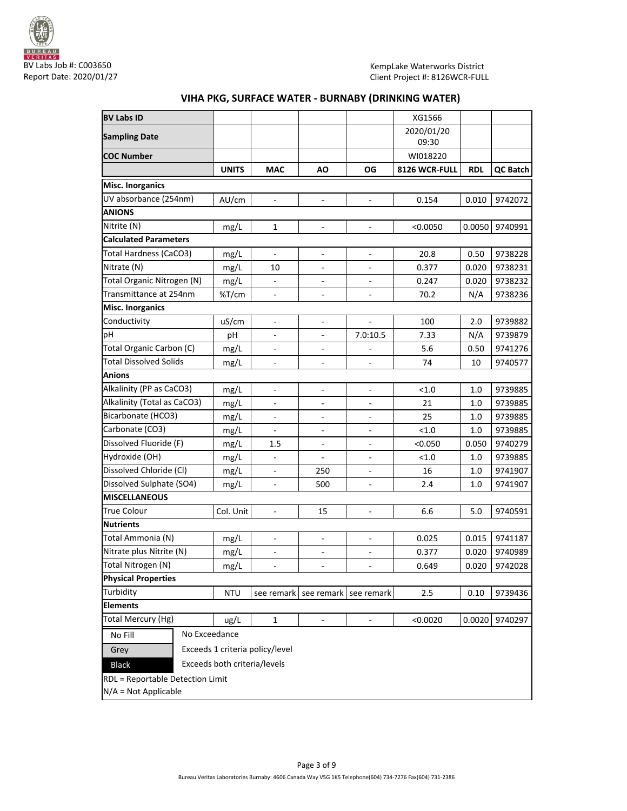

# **BV Labs ID** XG1566 **Sampling Date** 2020/01/20<br>2020/01/20 **Pampling Date**  09:30 **COC Number** WI018220 **UNITS MAC AO OG 8126 WCR-FULL RDL QC Batch Misc. Inorganics** UV absorbance (254nm) AU/cm - - - 0.154 0.010 9742072 **ANIONS** Nitrite (N) | mg/L | 1 | - | - | <0.0050 |0.0050 |9740991 **Calculated Parameters** Total Hardness (CaCO3) | mg/L | - | - | - | 20.8 | 0.50 | 9738228 Nitrate (N) | mg/L | 10 | - | - | 0.377 | 0.020 | 9738231 Total Organic Nitrogen (N)  $\begin{vmatrix} mg/L \end{vmatrix}$  -  $\begin{vmatrix} -1 \end{vmatrix}$  -  $\begin{vmatrix} 0.247 \end{vmatrix}$  0.020 9738232 Transmittance at 254nm  $\sqrt{3}$  /cm  $\sqrt{2}$  -  $\sqrt{2}$  -  $\sqrt{2}$  70.2  $\sqrt{2}$  N/A  $\sqrt{2}$  9738236 **Misc. Inorganics** Conductivity uS/cm - - - 100 2.0 9739882 pH pH - - 7.0:10.5 7.33 N/A 9739879 Total Organic Carbon (C)  $mg/L$  - - - - 5.6 0.50 9741276 Total Dissolved Solids | mg/L | - | - | - | 74 | 10 | 9740577 **Anions** Alkalinity (PP as CaCO3) | mg/L | - | - | - | <1.0 | 1.0 | 9739885 Alkalinity (Total as CaCO3) | mg/L | - | - | - | 21 | 1.0 | 9739885 Bicarbonate (HCO3) mg/L - - - 25 1.0 9739885 Carbonate (CO3)  $mg/L$  - - - - <1.0 1.0 9739885 Dissolved Fluoride (F)  $\begin{array}{c|c|c|c|c|c|c|c|c} \hline \text{mg/L} & \text{ng/L} & 1.5 & - & - & - & - & - & - & 0.050 & 0.050 & 9740279 \ \hline \end{array}$ Hydroxide (OH)  $mg/L$  - - - - - - - - - - 1.0 9739885 Dissolved Chloride (Cl)  $mg/L$  - 250 - 16 1.0 9741907 Dissolved Sulphate (SO4) | mg/L | - | 500 | - | 2.4 | 1.0 | 9741907 **MISCELLANEOUS** True Colour Col. Unit - 15 - 6.6 5.0 9740591 **Nutrients** Total Ammonia (N)  $mg/L$  - - - 0.025 0.015 9741187 Nitrate plus Nitrite (N) | mg/L | - | - | - | 0.377 | 0.020 | 9740989 Total Nitrogen (N) mg/L - - - 0.649 0.020 9742028 **Physical Properties** Turbidity  $\vert$  NTU see remark see remark see remark 2.5  $\vert$  0.10 9739436 **Elements** Total Mercury (Hg) | ug/L | 1 | - | - | <0.0020 |0.0020 |9740297 No Fill No Exceedance Grey Exceeds 1 criteria policy/level Black Exceeds both criteria/levels RDL = Reportable Detection Limit

## **VIHA PKG, SURFACE WATER - BURNABY (DRINKING WATER)**

N/A = Not Applicable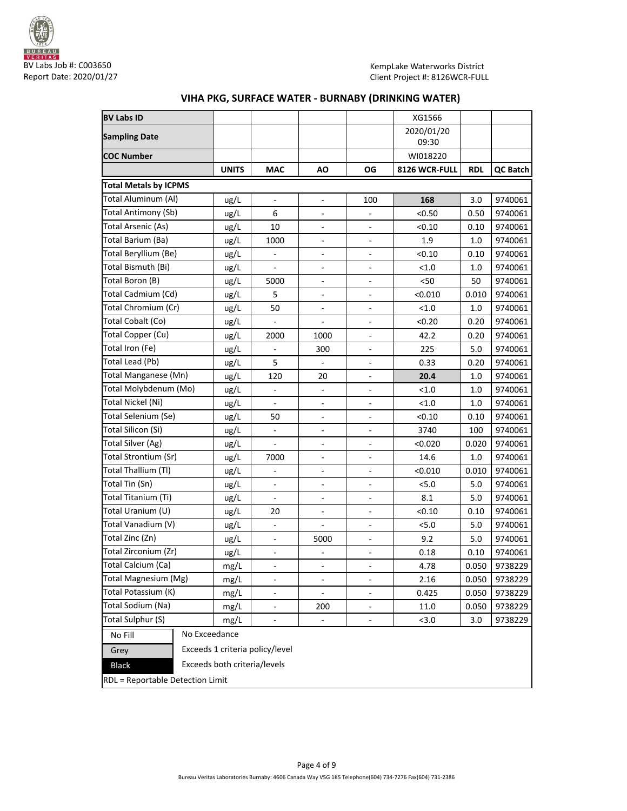

| <b>BV Labs ID</b>                |                                 |                          |                              |                              | XG1566        |            |               |
|----------------------------------|---------------------------------|--------------------------|------------------------------|------------------------------|---------------|------------|---------------|
|                                  |                                 |                          |                              |                              | 2020/01/20    |            |               |
| <b>Sampling Date</b>             |                                 |                          |                              |                              | 09:30         |            |               |
| COC Number                       |                                 |                          |                              |                              | WI018220      |            |               |
|                                  | <b>UNITS</b>                    | <b>MAC</b>               | ΑO                           | OG                           | 8126 WCR-FULL | <b>RDL</b> | QC Batch      |
| <b>Total Metals by ICPMS</b>     |                                 |                          |                              |                              |               |            |               |
| Total Aluminum (Al)              | ug/L                            | $\Box$                   | $\overline{\phantom{a}}$     | 100                          | 168           | 3.0        | 9740061       |
| Total Antimony (Sb)              | ug/L                            | 6                        | ÷,                           | $\overline{\phantom{a}}$     | < 0.50        | 0.50       | 9740061       |
| Total Arsenic (As)               | ug/L                            | 10                       |                              |                              | < 0.10        | 0.10       | 9740061       |
| Total Barium (Ba)                | ug/L                            | 1000                     | $\overline{\phantom{a}}$     | $\overline{\phantom{a}}$     | 1.9           | 1.0        | 9740061       |
| Total Beryllium (Be)             | ug/L                            | $\overline{\phantom{m}}$ | $\overline{\phantom{0}}$     | $\overline{\phantom{a}}$     | < 0.10        | 0.10       | 9740061       |
| Total Bismuth (Bi)               | ug/L                            | $\overline{\phantom{a}}$ | $\overline{\phantom{a}}$     | $\overline{\phantom{a}}$     | < 1.0         | 1.0        | 9740061       |
| Total Boron (B)                  | ug/L                            | 5000                     | ÷,                           | $\overline{\phantom{a}}$     | $50$          | 50         | 9740061       |
| Total Cadmium (Cd)               | ug/L                            | 5                        |                              |                              | < 0.010       | 0.010      | 9740061       |
| Total Chromium (Cr)              | ug/L                            | 50                       |                              |                              | < 1.0         | 1.0        | 9740061       |
| Total Cobalt (Co)                | ug/L                            |                          | ÷                            | $\overline{\phantom{a}}$     | < 0.20        | 0.20       | 9740061       |
| Total Copper (Cu)                | ug/L                            | 2000                     | 1000                         | $\overline{\phantom{a}}$     | 42.2          | 0.20       | 9740061       |
| Total Iron (Fe)                  | ug/L                            | $\overline{\phantom{a}}$ | 300                          |                              | 225           | 5.0        | 9740061       |
| Total Lead (Pb)                  | ug/L                            | 5                        |                              |                              | 0.33          | 0.20       | 9740061       |
| Total Manganese (Mn)             | ug/L                            | 120                      | 20                           | $\frac{1}{2}$                | 20.4          | 1.0        | 9740061       |
| Total Molybdenum (Mo)            | ug/L                            | $\overline{\phantom{m}}$ | $\overline{\phantom{a}}$     | $\blacksquare$               | < 1.0         | 1.0        | 9740061       |
| Total Nickel (Ni)                | ug/L                            | $\blacksquare$           | $\overline{\phantom{a}}$     | $\overline{\phantom{a}}$     | < 1.0         | 1.0        | 9740061       |
| Total Selenium (Se)              | ug/L                            | 50                       |                              |                              | < 0.10        | 0.10       | 9740061       |
| Total Silicon (Si)               | ug/L                            |                          | ÷,                           |                              | 3740          | 100        | 9740061       |
| Total Silver (Ag)                | ug/L                            |                          | ÷,                           | $\frac{1}{2}$                | < 0.020       | 0.020      | 9740061       |
| Total Strontium (Sr)             | ug/L                            | 7000                     | $\overline{\phantom{a}}$     | $\overline{\phantom{a}}$     | 14.6          | 1.0        | 9740061       |
| Total Thallium (Tl)              | ug/L                            | $\blacksquare$           | $\overline{\phantom{m}}$     | $\overline{\phantom{a}}$     | < 0.010       | 0.010      | 9740061       |
| Total Tin (Sn)                   | ug/L                            |                          |                              |                              | 5.0           | 5.0        | 9740061       |
| Total Titanium (Ti)              | ug/L                            | $\overline{\phantom{a}}$ | $\qquad \qquad \blacksquare$ | $\overline{\phantom{a}}$     | 8.1           | 5.0        | 9740061       |
| Total Uranium (U)                | ug/L                            | 20                       | $\frac{1}{2}$                | $\overline{\phantom{a}}$     | < 0.10        | 0.10       | 9740061       |
| Total Vanadium (V)               | ug/L                            | $\blacksquare$           | $\blacksquare$               | $\Box$                       | 5.0           | 5.0        | 9740061       |
| Total Zinc (Zn)                  | ug/L                            | $\blacksquare$           | 5000                         | $\qquad \qquad \blacksquare$ | 9.2           | 5.0        | 9740061       |
| Total Zirconium (Zr)             | ug/L                            | $\overline{\phantom{m}}$ |                              |                              | 0.18          | 0.10       | 9740061       |
| Total Calcium (Ca)               | mg/L                            |                          |                              |                              | 4.78          |            | 0.050 9738229 |
| Total Magnesium (Mg)             | mg/L                            |                          | $\qquad \qquad \blacksquare$ |                              | 2.16          | 0.050      | 9738229       |
| Total Potassium (K)              | mg/L                            | $\overline{\phantom{a}}$ | $\blacksquare$               | $\overline{\phantom{a}}$     | 0.425         | 0.050      | 9738229       |
| Total Sodium (Na)                | mg/L                            | $\overline{\phantom{a}}$ | 200                          | $\overline{\phantom{a}}$     | 11.0          | 0.050      | 9738229       |
| Total Sulphur (S)                | mg/L                            |                          |                              |                              | < 3.0         | 3.0        | 9738229       |
| No Fill                          | No Exceedance                   |                          |                              |                              |               |            |               |
| Grey                             | Exceeds 1 criteria policy/level |                          |                              |                              |               |            |               |
| <b>Black</b>                     | Exceeds both criteria/levels    |                          |                              |                              |               |            |               |
| RDL = Reportable Detection Limit |                                 |                          |                              |                              |               |            |               |

# **VIHA PKG, SURFACE WATER - BURNABY (DRINKING WATER)**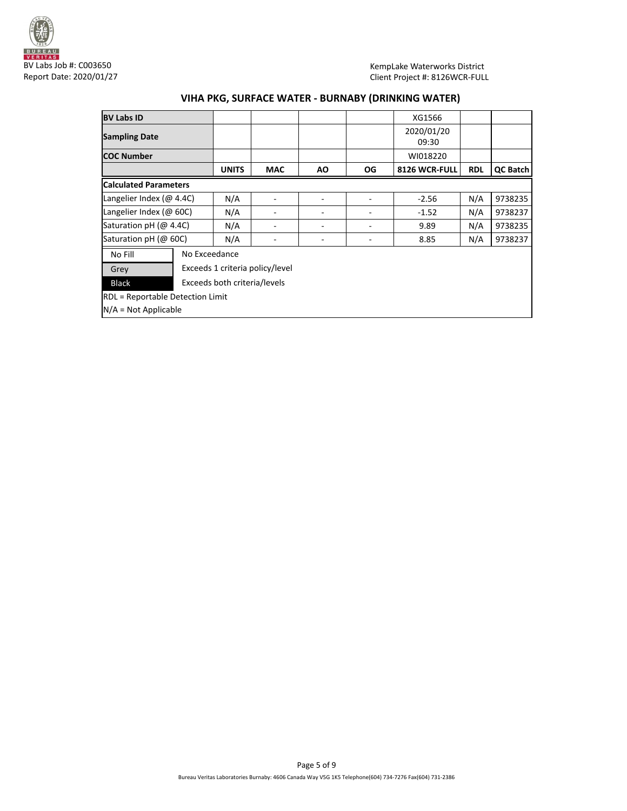

KempLake Waterworks District Client Project #: 8126WCR-FULL

# **VIHA PKG, SURFACE WATER - BURNABY (DRINKING WATER)**

| <b>BV Labs ID</b>                |                              |                                 |            |           |     | XG1566        |                |                 |
|----------------------------------|------------------------------|---------------------------------|------------|-----------|-----|---------------|----------------|-----------------|
| <b>Sampling Date</b>             |                              |                                 |            |           |     | 2020/01/20    |                |                 |
|                                  |                              |                                 |            |           |     | 09:30         |                |                 |
| <b>COC Number</b>                |                              |                                 |            |           |     | WI018220      |                |                 |
|                                  |                              | <b>UNITS</b>                    | <b>MAC</b> | <b>AO</b> | OG. | 8126 WCR-FULL | <b>RDL</b>     | <b>QC Batch</b> |
| <b>Calculated Parameters</b>     |                              |                                 |            |           |     |               |                |                 |
| Langelier Index (@ 4.4C)         |                              | N/A                             |            |           |     | $-2.56$       |                | 9738235         |
| Langelier Index (@ 60C)          |                              | N/A                             | ۰          |           |     | $-1.52$       | N/A            | 9738237         |
|                                  | Saturation pH (@ 4.4C)       |                                 | -          | ٠         |     | 9.89          | N/A            | 9738235         |
| Saturation pH (@ 60C)            |                              | N/A                             | -          |           |     | 8.85          | N/A<br>9738237 |                 |
| No Fill                          |                              | No Exceedance                   |            |           |     |               |                |                 |
| Grey                             |                              | Exceeds 1 criteria policy/level |            |           |     |               |                |                 |
| <b>Black</b>                     | Exceeds both criteria/levels |                                 |            |           |     |               |                |                 |
| RDL = Reportable Detection Limit |                              |                                 |            |           |     |               |                |                 |
| $N/A = Not Applicable$           |                              |                                 |            |           |     |               |                |                 |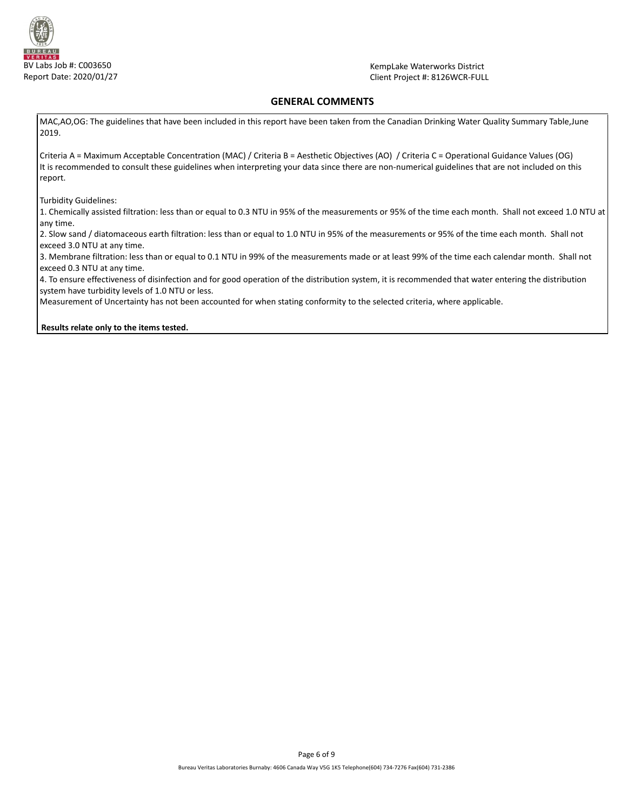

KempLake Waterworks District Client Project #: 8126WCR-FULL

# **GENERAL COMMENTS**

MAC,AO,OG: The guidelines that have been included in this report have been taken from the Canadian Drinking Water Quality Summary Table,June 2019.

Criteria A = Maximum Acceptable Concentration (MAC) / Criteria B = Aesthetic Objectives (AO) / Criteria C = Operational Guidance Values (OG) It is recommended to consult these guidelines when interpreting your data since there are non-numerical guidelines that are not included on this report.

Turbidity Guidelines:

1. Chemically assisted filtration: less than or equal to 0.3 NTU in 95% of the measurements or 95% of the time each month. Shall not exceed 1.0 NTU at any time.

2. Slow sand / diatomaceous earth filtration: less than or equal to 1.0 NTU in 95% of the measurements or 95% of the time each month. Shall not exceed 3.0 NTU at any time.

3. Membrane filtration: less than or equal to 0.1 NTU in 99% of the measurements made or at least 99% of the time each calendar month. Shall not exceed 0.3 NTU at any time.

4. To ensure effectiveness of disinfection and for good operation of the distribution system, it is recommended that water entering the distribution system have turbidity levels of 1.0 NTU or less.

Measurement of Uncertainty has not been accounted for when stating conformity to the selected criteria, where applicable.

**Results relate only to the items tested.**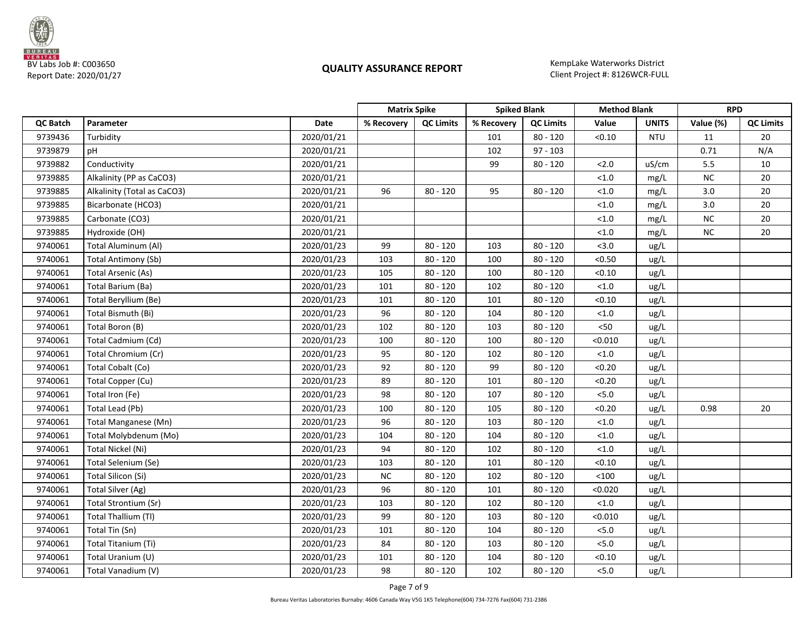

KempLake Waterworks District

|                 |                             |            |            | <b>Matrix Spike</b> |            | <b>Spiked Blank</b><br><b>Method Blank</b> |         |              | <b>RPD</b> |                  |
|-----------------|-----------------------------|------------|------------|---------------------|------------|--------------------------------------------|---------|--------------|------------|------------------|
| <b>QC Batch</b> | Parameter                   | Date       | % Recovery | <b>QC Limits</b>    | % Recovery | <b>QC Limits</b>                           | Value   | <b>UNITS</b> | Value (%)  | <b>QC Limits</b> |
| 9739436         | Turbidity                   | 2020/01/21 |            |                     | 101        | $80 - 120$                                 | < 0.10  | <b>NTU</b>   | 11         | 20               |
| 9739879         | pH                          | 2020/01/21 |            |                     | 102        | $97 - 103$                                 |         |              | 0.71       | N/A              |
| 9739882         | Conductivity                | 2020/01/21 |            |                     | 99         | $80 - 120$                                 | 2.0     | uS/cm        | 5.5        | 10               |
| 9739885         | Alkalinity (PP as CaCO3)    | 2020/01/21 |            |                     |            |                                            | $<1.0$  | mg/L         | ${\sf NC}$ | 20               |
| 9739885         | Alkalinity (Total as CaCO3) | 2020/01/21 | 96         | $80 - 120$          | 95         | $80 - 120$                                 | < 1.0   | mg/L         | 3.0        | 20               |
| 9739885         | Bicarbonate (HCO3)          | 2020/01/21 |            |                     |            |                                            | < 1.0   | mg/L         | $3.0\,$    | 20               |
| 9739885         | Carbonate (CO3)             | 2020/01/21 |            |                     |            |                                            | < 1.0   | mg/L         | ${\sf NC}$ | 20               |
| 9739885         | Hydroxide (OH)              | 2020/01/21 |            |                     |            |                                            | < 1.0   | mg/L         | <b>NC</b>  | 20               |
| 9740061         | Total Aluminum (Al)         | 2020/01/23 | 99         | $80 - 120$          | 103        | $80 - 120$                                 | < 3.0   | ug/L         |            |                  |
| 9740061         | <b>Total Antimony (Sb)</b>  | 2020/01/23 | 103        | $80 - 120$          | 100        | $80 - 120$                                 | < 0.50  | ug/L         |            |                  |
| 9740061         | <b>Total Arsenic (As)</b>   | 2020/01/23 | 105        | $80 - 120$          | 100        | $80 - 120$                                 | < 0.10  | ug/L         |            |                  |
| 9740061         | Total Barium (Ba)           | 2020/01/23 | 101        | $80 - 120$          | 102        | $80 - 120$                                 | < 1.0   | ug/L         |            |                  |
| 9740061         | Total Beryllium (Be)        | 2020/01/23 | 101        | $80 - 120$          | 101        | $80 - 120$                                 | < 0.10  | ug/L         |            |                  |
| 9740061         | Total Bismuth (Bi)          | 2020/01/23 | 96         | $80 - 120$          | 104        | $80 - 120$                                 | < 1.0   | ug/L         |            |                  |
| 9740061         | Total Boron (B)             | 2020/01/23 | 102        | $80 - 120$          | 103        | $80 - 120$                                 | $50$    | ug/L         |            |                  |
| 9740061         | Total Cadmium (Cd)          | 2020/01/23 | 100        | $80 - 120$          | 100        | $80 - 120$                                 | < 0.010 | ug/L         |            |                  |
| 9740061         | Total Chromium (Cr)         | 2020/01/23 | 95         | $80 - 120$          | 102        | $80 - 120$                                 | < 1.0   | ug/L         |            |                  |
| 9740061         | Total Cobalt (Co)           | 2020/01/23 | 92         | $80 - 120$          | 99         | $80 - 120$                                 | < 0.20  | ug/L         |            |                  |
| 9740061         | Total Copper (Cu)           | 2020/01/23 | 89         | $80 - 120$          | 101        | $80 - 120$                                 | < 0.20  | ug/L         |            |                  |
| 9740061         | Total Iron (Fe)             | 2020/01/23 | 98         | $80 - 120$          | 107        | $80 - 120$                                 | 5.0     | ug/L         |            |                  |
| 9740061         | Total Lead (Pb)             | 2020/01/23 | 100        | $80 - 120$          | 105        | $80 - 120$                                 | < 0.20  | ug/L         | 0.98       | 20               |
| 9740061         | Total Manganese (Mn)        | 2020/01/23 | 96         | $80 - 120$          | 103        | $80 - 120$                                 | < 1.0   | ug/L         |            |                  |
| 9740061         | Total Molybdenum (Mo)       | 2020/01/23 | 104        | $80 - 120$          | 104        | $80 - 120$                                 | < 1.0   | ug/L         |            |                  |
| 9740061         | Total Nickel (Ni)           | 2020/01/23 | 94         | $80 - 120$          | 102        | $80 - 120$                                 | < 1.0   | ug/L         |            |                  |
| 9740061         | Total Selenium (Se)         | 2020/01/23 | 103        | $80 - 120$          | 101        | $80 - 120$                                 | < 0.10  | ug/L         |            |                  |
| 9740061         | Total Silicon (Si)          | 2020/01/23 | NC         | $80 - 120$          | 102        | $80 - 120$                                 | < 100   | ug/L         |            |                  |
| 9740061         | Total Silver (Ag)           | 2020/01/23 | 96         | $80 - 120$          | 101        | $80 - 120$                                 | < 0.020 | ug/L         |            |                  |
| 9740061         | Total Strontium (Sr)        | 2020/01/23 | 103        | $80 - 120$          | 102        | $80 - 120$                                 | < 1.0   | ug/L         |            |                  |
| 9740061         | Total Thallium (TI)         | 2020/01/23 | 99         | $80 - 120$          | 103        | $80 - 120$                                 | < 0.010 | ug/L         |            |                  |
| 9740061         | Total Tin (Sn)              | 2020/01/23 | 101        | $80 - 120$          | 104        | $80 - 120$                                 | 5.0     | ug/L         |            |                  |
| 9740061         | Total Titanium (Ti)         | 2020/01/23 | 84         | $80 - 120$          | 103        | $80 - 120$                                 | 5.0     | ug/L         |            |                  |
| 9740061         | Total Uranium (U)           | 2020/01/23 | 101        | $80 - 120$          | 104        | $80 - 120$                                 | < 0.10  | ug/L         |            |                  |
| 9740061         | Total Vanadium (V)          | 2020/01/23 | 98         | $80 - 120$          | 102        | $80 - 120$                                 | 5.0     | ug/L         |            |                  |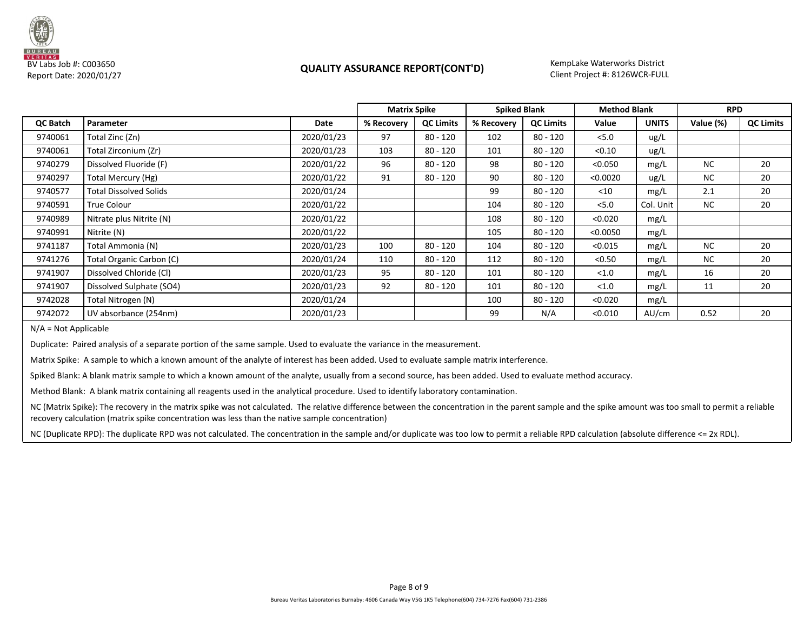

# BV Labs Job #: C003650<br>Report Date: 2020/01/27 **Client Project #: 8126WCR-FULL** Report Date: 2020/01/27

KempLake Waterworks District

|          |                               |            | <b>Matrix Spike</b> |                  |            | <b>Spiked Blank</b> |          | <b>Method Blank</b> |           | <b>RPD</b>       |  |
|----------|-------------------------------|------------|---------------------|------------------|------------|---------------------|----------|---------------------|-----------|------------------|--|
| QC Batch | Parameter                     | Date       | % Recovery          | <b>QC Limits</b> | % Recovery | <b>QC Limits</b>    | Value    | <b>UNITS</b>        | Value (%) | <b>QC Limits</b> |  |
| 9740061  | Total Zinc (Zn)               | 2020/01/23 | 97                  | $80 - 120$       | 102        | $80 - 120$          | 5.0      | ug/L                |           |                  |  |
| 9740061  | Total Zirconium (Zr)          | 2020/01/23 | 103                 | $80 - 120$       | 101        | $80 - 120$          | < 0.10   | ug/L                |           |                  |  |
| 9740279  | Dissolved Fluoride (F)        | 2020/01/22 | 96                  | 80 - 120         | 98         | $80 - 120$          | < 0.050  | mg/L                | <b>NC</b> | 20               |  |
| 9740297  | Total Mercury (Hg)            | 2020/01/22 | 91                  | $80 - 120$       | 90         | $80 - 120$          | < 0.0020 | ug/L                | NC        | 20               |  |
| 9740577  | <b>Total Dissolved Solids</b> | 2020/01/24 |                     |                  | 99         | $80 - 120$          | $<$ 10   | mg/L                | 2.1       | 20               |  |
| 9740591  | <b>True Colour</b>            | 2020/01/22 |                     |                  | 104        | $80 - 120$          | < 5.0    | Col. Unit           | NC        | 20               |  |
| 9740989  | Nitrate plus Nitrite (N)      | 2020/01/22 |                     |                  | 108        | $80 - 120$          | < 0.020  | mg/L                |           |                  |  |
| 9740991  | Nitrite (N)                   | 2020/01/22 |                     |                  | 105        | $80 - 120$          | < 0.0050 | mg/L                |           |                  |  |
| 9741187  | Total Ammonia (N)             | 2020/01/23 | 100                 | 80 - 120         | 104        | $80 - 120$          | < 0.015  | mg/L                | NC        | 20               |  |
| 9741276  | Total Organic Carbon (C)      | 2020/01/24 | 110                 | $80 - 120$       | 112        | $80 - 120$          | < 0.50   | mg/L                | NC        | 20               |  |
| 9741907  | Dissolved Chloride (CI)       | 2020/01/23 | 95                  | $80 - 120$       | 101        | $80 - 120$          | < 1.0    | mg/L                | 16        | 20               |  |
| 9741907  | Dissolved Sulphate (SO4)      | 2020/01/23 | 92                  | 80 - 120         | 101        | $80 - 120$          | < 1.0    | mg/L                | 11        | 20               |  |
| 9742028  | Total Nitrogen (N)            | 2020/01/24 |                     |                  | 100        | $80 - 120$          | < 0.020  | mg/L                |           |                  |  |
| 9742072  | UV absorbance (254nm)         | 2020/01/23 |                     |                  | 99         | N/A                 | < 0.010  | AU/cm               | 0.52      | 20               |  |

N/A = Not Applicable

Duplicate: Paired analysis of a separate portion of the same sample. Used to evaluate the variance in the measurement.

Matrix Spike: A sample to which a known amount of the analyte of interest has been added. Used to evaluate sample matrix interference.

Spiked Blank: A blank matrix sample to which a known amount of the analyte, usually from a second source, has been added. Used to evaluate method accuracy.

Method Blank: A blank matrix containing all reagents used in the analytical procedure. Used to identify laboratory contamination.

NC (Matrix Spike): The recovery in the matrix spike was not calculated. The relative difference between the concentration in the parent sample and the spike amount was too small to permit a reliable recovery calculation (matrix spike concentration was less than the native sample concentration)

NC (Duplicate RPD): The duplicate RPD was not calculated. The concentration in the sample and/or duplicate was too low to permit a reliable RPD calculation (absolute difference <= 2x RDL).